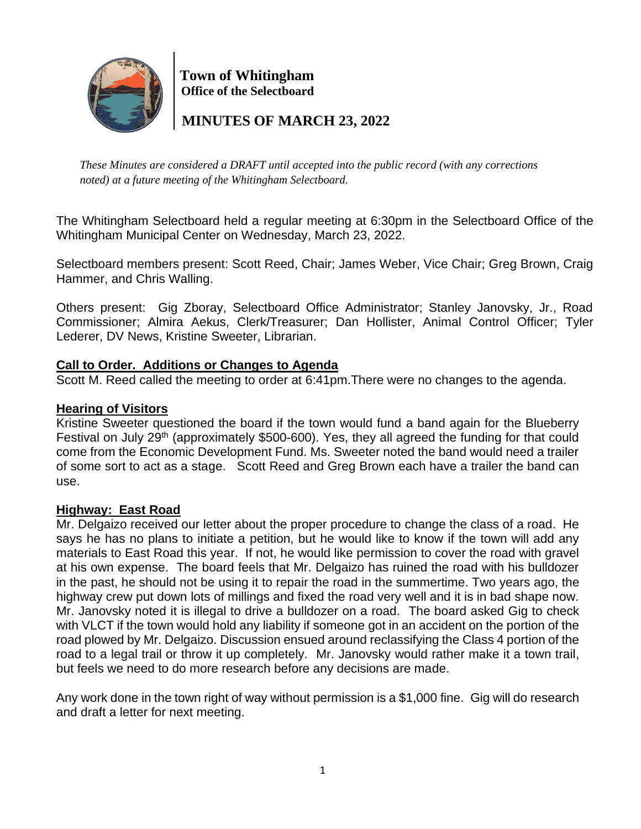

 **Town of Whitingham Office of the Selectboard**

 **MINUTES OF MARCH 23, 2022**

*These Minutes are considered a DRAFT until accepted into the public record (with any corrections noted) at a future meeting of the Whitingham Selectboard.*

The Whitingham Selectboard held a regular meeting at 6:30pm in the Selectboard Office of the Whitingham Municipal Center on Wednesday, March 23, 2022.

Selectboard members present: Scott Reed, Chair; James Weber, Vice Chair; Greg Brown, Craig Hammer, and Chris Walling.

Others present: Gig Zboray, Selectboard Office Administrator; Stanley Janovsky, Jr., Road Commissioner; Almira Aekus, Clerk/Treasurer; Dan Hollister, Animal Control Officer; Tyler Lederer, DV News, Kristine Sweeter, Librarian.

# **Call to Order. Additions or Changes to Agenda**

Scott M. Reed called the meeting to order at 6:41pm.There were no changes to the agenda.

# **Hearing of Visitors**

Kristine Sweeter questioned the board if the town would fund a band again for the Blueberry Festival on July 29<sup>th</sup> (approximately \$500-600). Yes, they all agreed the funding for that could come from the Economic Development Fund. Ms. Sweeter noted the band would need a trailer of some sort to act as a stage. Scott Reed and Greg Brown each have a trailer the band can use.

# **Highway: East Road**

Mr. Delgaizo received our letter about the proper procedure to change the class of a road. He says he has no plans to initiate a petition, but he would like to know if the town will add any materials to East Road this year. If not, he would like permission to cover the road with gravel at his own expense. The board feels that Mr. Delgaizo has ruined the road with his bulldozer in the past, he should not be using it to repair the road in the summertime. Two years ago, the highway crew put down lots of millings and fixed the road very well and it is in bad shape now. Mr. Janovsky noted it is illegal to drive a bulldozer on a road. The board asked Gig to check with VLCT if the town would hold any liability if someone got in an accident on the portion of the road plowed by Mr. Delgaizo. Discussion ensued around reclassifying the Class 4 portion of the road to a legal trail or throw it up completely. Mr. Janovsky would rather make it a town trail, but feels we need to do more research before any decisions are made.

Any work done in the town right of way without permission is a \$1,000 fine. Gig will do research and draft a letter for next meeting.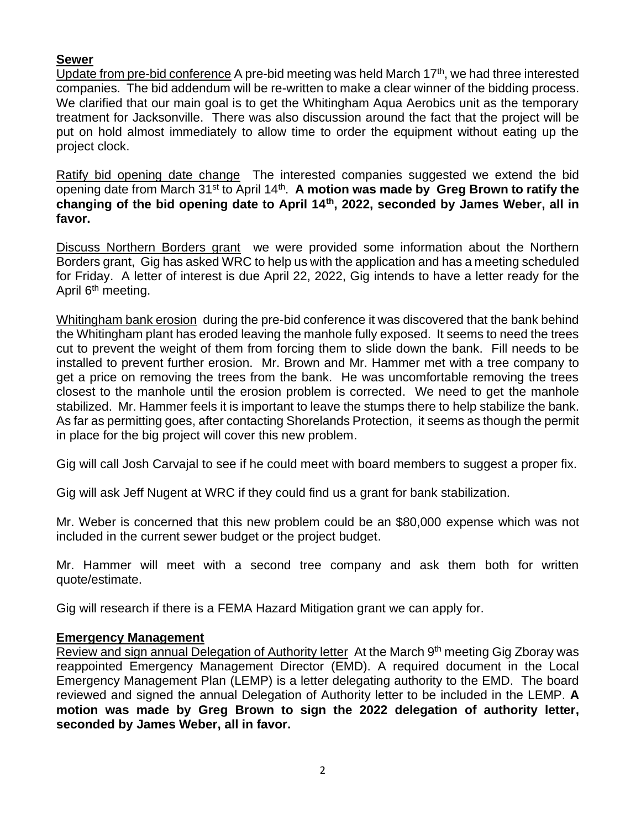## **Sewer**

Update from pre-bid conference A pre-bid meeting was held March  $17<sup>th</sup>$ , we had three interested companies. The bid addendum will be re-written to make a clear winner of the bidding process. We clarified that our main goal is to get the Whitingham Aqua Aerobics unit as the temporary treatment for Jacksonville. There was also discussion around the fact that the project will be put on hold almost immediately to allow time to order the equipment without eating up the project clock.

Ratify bid opening date change The interested companies suggested we extend the bid opening date from March 31<sup>st</sup> to April 14<sup>th</sup>. A motion was made by Greg Brown to ratify the **changing of the bid opening date to April 14th, 2022, seconded by James Weber, all in favor.**

Discuss Northern Borders grant we were provided some information about the Northern Borders grant, Gig has asked WRC to help us with the application and has a meeting scheduled for Friday. A letter of interest is due April 22, 2022, Gig intends to have a letter ready for the April 6<sup>th</sup> meeting.

Whitingham bank erosion during the pre-bid conference it was discovered that the bank behind the Whitingham plant has eroded leaving the manhole fully exposed. It seems to need the trees cut to prevent the weight of them from forcing them to slide down the bank. Fill needs to be installed to prevent further erosion. Mr. Brown and Mr. Hammer met with a tree company to get a price on removing the trees from the bank. He was uncomfortable removing the trees closest to the manhole until the erosion problem is corrected. We need to get the manhole stabilized. Mr. Hammer feels it is important to leave the stumps there to help stabilize the bank. As far as permitting goes, after contacting Shorelands Protection, it seems as though the permit in place for the big project will cover this new problem.

Gig will call Josh Carvajal to see if he could meet with board members to suggest a proper fix.

Gig will ask Jeff Nugent at WRC if they could find us a grant for bank stabilization.

Mr. Weber is concerned that this new problem could be an \$80,000 expense which was not included in the current sewer budget or the project budget.

Mr. Hammer will meet with a second tree company and ask them both for written quote/estimate.

Gig will research if there is a FEMA Hazard Mitigation grant we can apply for.

#### **Emergency Management**

Review and sign annual Delegation of Authority letter At the March 9<sup>th</sup> meeting Gig Zboray was reappointed Emergency Management Director (EMD). A required document in the Local Emergency Management Plan (LEMP) is a letter delegating authority to the EMD. The board reviewed and signed the annual Delegation of Authority letter to be included in the LEMP. **A motion was made by Greg Brown to sign the 2022 delegation of authority letter, seconded by James Weber, all in favor.**